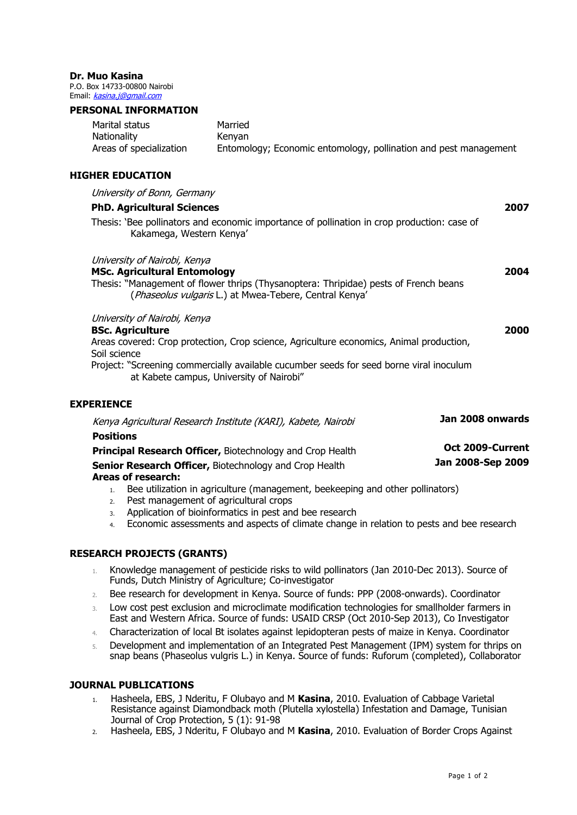#### **Dr. Muo Kasina**

P.O. Box 14733-00800 Nairobi Email: [kasina.j@gmail.com](mailto:kasina.j@gmail.com)

#### **PERSONAL INFORMATION**

| Marital status          | Married                                                          |
|-------------------------|------------------------------------------------------------------|
| Nationality             | Kenvan                                                           |
| Areas of specialization | Entomology; Economic entomology, pollination and pest management |

# **HIGHER EDUCATION**

| University of Bonn, Germany                                                                                                         |      |
|-------------------------------------------------------------------------------------------------------------------------------------|------|
| <b>PhD. Agricultural Sciences</b>                                                                                                   | 2007 |
| Thesis: 'Bee pollinators and economic importance of pollination in crop production: case of<br>Kakamega, Western Kenya'             |      |
| University of Nairobi, Kenya                                                                                                        |      |
| <b>MSc. Agricultural Entomology</b>                                                                                                 | 2004 |
| Thesis: "Management of flower thrips (Thysanoptera: Thripidae) pests of French beans                                                |      |
| (Phaseolus vulgaris L.) at Mwea-Tebere, Central Kenya'                                                                              |      |
| University of Nairobi, Kenya                                                                                                        |      |
| <b>BSc. Agriculture</b>                                                                                                             | 2000 |
| Areas covered: Crop protection, Crop science, Agriculture economics, Animal production,                                             |      |
| Soil science                                                                                                                        |      |
| Project: "Screening commercially available cucumber seeds for seed borne viral inoculum<br>at Kabete campus, University of Nairobi" |      |
| <b>EXPERIENCE</b>                                                                                                                   |      |

| Kenya Agricultural Research Institute (KARI), Kabete, Nairobi    | Jan 2008 onwards  |  |
|------------------------------------------------------------------|-------------------|--|
| <b>Positions</b>                                                 |                   |  |
| <b>Principal Research Officer, Biotechnology and Crop Health</b> | Oct 2009-Current  |  |
| Senior Research Officer, Biotechnology and Crop Health           | Jan 2008-Sep 2009 |  |
| <b>Areas of research:</b>                                        |                   |  |

- 1. Bee utilization in agriculture (management, beekeeping and other pollinators)
- 2. Pest management of agricultural crops
- 3. Application of bioinformatics in pest and bee research
- 4. Economic assessments and aspects of climate change in relation to pests and bee research

### **RESEARCH PROJECTS (GRANTS)**

- 1. Knowledge management of pesticide risks to wild pollinators (Jan 2010-Dec 2013). Source of Funds, Dutch Ministry of Agriculture; Co-investigator
- 2. Bee research for development in Kenya. Source of funds: PPP (2008-onwards). Coordinator
- 3. Low cost pest exclusion and microclimate modification technologies for smallholder farmers in East and Western Africa. Source of funds: USAID CRSP (Oct 2010-Sep 2013), Co Investigator
- 4. Characterization of local Bt isolates against lepidopteran pests of maize in Kenya. Coordinator
- 5. Development and implementation of an Integrated Pest Management (IPM) system for thrips on snap beans (Phaseolus vulgris L.) in Kenya. Source of funds: Ruforum (completed), Collaborator

### **JOURNAL PUBLICATIONS**

- 1. Hasheela, EBS, J Nderitu, F Olubayo and M **Kasina**, 2010. Evaluation of Cabbage Varietal Resistance against Diamondback moth (Plutella xylostella) Infestation and Damage, Tunisian Journal of Crop Protection, 5 (1): 91-98
- 2. Hasheela, EBS, J Nderitu, F Olubayo and M **Kasina**, 2010. Evaluation of Border Crops Against